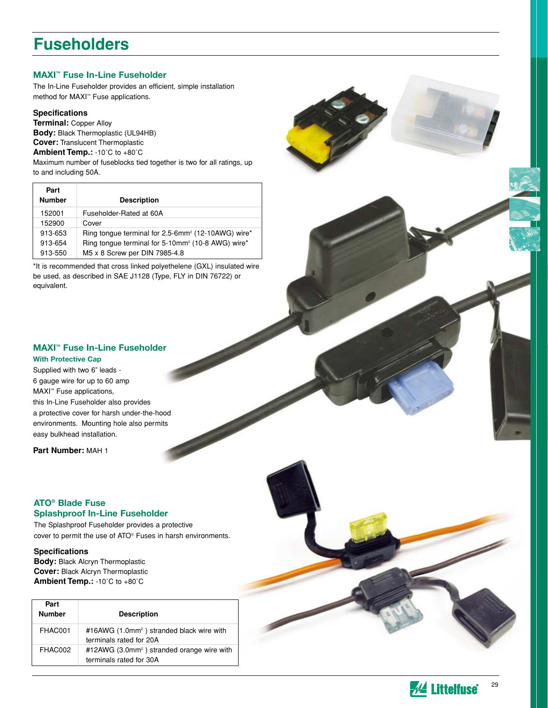## **Fuseholders**

## **MAXI™ Fuse In-Line Fuseholder**

The In-Line Fuseholder provides an efficient, simple installation method for MAXI™ Fuse applications.

#### **Specifications**

**Terminal:** Copper Alloy **Body:** Black Thermoplastic (UL94HB) **Cover:** Translucent Thermoplastic **Ambient Temp.:** -10˚C to +80˚C Maximum number of fuseblocks tied together is two for all ratings, up

to and including 50A.  $\Gamma$ 

| Part<br><b>Number</b> | <b>Description</b>                                                         |
|-----------------------|----------------------------------------------------------------------------|
| 152001                | Fuseholder-Rated at 60A                                                    |
| 152900                | Cover                                                                      |
| 913-653               | Ring tonque terminal for 2.5-6mm <sup>2</sup> (12-10AWG) wire <sup>*</sup> |
| 913-654               | Ring tongue terminal for 5-10mm <sup>2</sup> (10-8 AWG) wire*              |
| 913-550               | M5 x 8 Screw per DIN 7985-4.8                                              |

\*It is recommended that cross linked polyethelene (GXL) insulated wire be used, as described in SAE J1128 (Type, FLY in DIN 76722) or equivalent.



## **MAXI™ Fuse In-Line Fuseholder**

#### **With Protective Cap**

Supplied with two 6" leads - 6 gauge wire for up to 60 amp MAXI™ Fuse applications, this In-Line Fuseholder also provides a protective cover for harsh under-the-hood environments. Mounting hole also permits easy bulkhead installation.

**Part Number:** MAH 1

### **ATO® Blade Fuse Splashproof In-Line Fuseholder**

The Splashproof Fuseholder provides a protective cover to permit the use of ATO® Fuses in harsh environments.

## **Specifications**

**Body:** Black Alcryn Thermoplastic **Cover:** Black Alcryn Thermoplastic **Ambient Temp.:** -10˚C to +80˚C

| Part<br><b>Number</b> | <b>Description</b>                                                                |
|-----------------------|-----------------------------------------------------------------------------------|
| FHAC001               | #16AWG (1.0mm <sup>2</sup> ) stranded black wire with<br>terminals rated for 20A  |
| FHAC002               | #12AWG (3.0mm <sup>2</sup> ) stranded orange wire with<br>terminals rated for 30A |